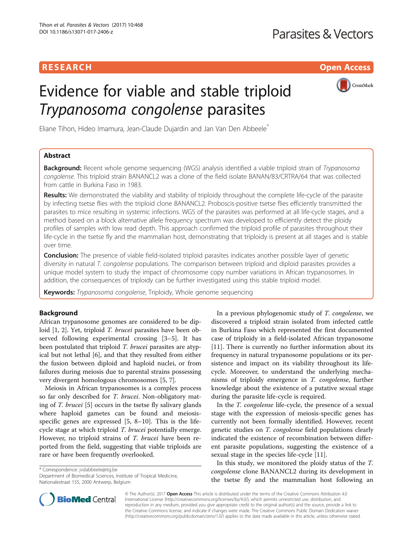# **RESEARCH CHILD CONTROL** CONTROL CONTROL CONTROL CONTROL CONTROL CONTROL CONTROL CONTROL CONTROL CONTROL CONTROL

# Evidence for viable and stable triploid Trypanosoma congolense parasites



Eliane Tihon, Hideo Imamura, Jean-Claude Dujardin and Jan Van Den Abbeele\*

# Abstract

**Background:** Recent whole genome sequencing (WGS) analysis identified a viable triploid strain of *Trypanosoma* congolense. This triploid strain BANANCL2 was a clone of the field isolate BANAN/83/CRTRA/64 that was collected from cattle in Burkina Faso in 1983.

**Results:** We demonstrated the viability and stability of triploidy throughout the complete life-cycle of the parasite by infecting tsetse flies with the triploid clone BANANCL2. Proboscis-positive tsetse flies efficiently transmitted the parasites to mice resulting in systemic infections. WGS of the parasites was performed at all life-cycle stages, and a method based on a block alternative allele frequency spectrum was developed to efficiently detect the ploidy profiles of samples with low read depth. This approach confirmed the triploid profile of parasites throughout their life-cycle in the tsetse fly and the mammalian host, demonstrating that triploidy is present at all stages and is stable over time.

**Conclusion:** The presence of viable field-isolated triploid parasites indicates another possible layer of genetic diversity in natural T. congolense populations. The comparison between triploid and diploid parasites provides a unique model system to study the impact of chromosome copy number variations in African trypanosomes. In addition, the consequences of triploidy can be further investigated using this stable triploid model.

Keywords: Trypanosoma congolense, Triploidy, Whole genome sequencing

# Background

African trypanosome genomes are considered to be dip-loid [\[1](#page-7-0), [2\]](#page-7-0). Yet, triploid *T. brucei* parasites have been observed following experimental crossing [\[3](#page-7-0)–[5](#page-7-0)]. It has been postulated that triploid T. brucei parasites are atypical but not lethal [[6](#page-7-0)], and that they resulted from either the fusion between diploid and haploid nuclei, or from failures during meiosis due to parental strains possessing very divergent homologous chromosomes [\[5, 7\]](#page-7-0).

Meiosis in African trypanosomes is a complex process so far only described for T. brucei. Non-obligatory mating of T. brucei [[5](#page-7-0)] occurs in the tsetse fly salivary glands where haploid gametes can be found and meiosisspecific genes are expressed [\[5](#page-7-0), [8](#page-7-0)–[10\]](#page-7-0). This is the lifecycle stage at which triploid T. brucei potentially emerge. However, no triploid strains of T. brucei have been reported from the field, suggesting that viable triploids are rare or have been frequently overlooked.

\* Correspondence: [jvdabbeele@itg.be](mailto:jvdabbeele@itg.be)

Department of Biomedical Sciences, Institute of Tropical Medicine, Nationalestraat 155, 2000 Antwerp, Belgium

In a previous phylogenomic study of T. congolense, we discovered a triploid strain isolated from infected cattle in Burkina Faso which represented the first documented case of triploidy in a field-isolated African trypanosome [[11\]](#page-7-0). There is currently no further information about its frequency in natural trypanosome populations or its persistence and impact on its viability throughout its lifecycle. Moreover, to understand the underlying mechanisms of triploidy emergence in T. congolense, further knowledge about the existence of a putative sexual stage during the parasite life-cycle is required.

In the T. congolense life-cycle, the presence of a sexual stage with the expression of meiosis-specific genes has currently not been formally identified. However, recent genetic studies on T. congolense field populations clearly indicated the existence of recombination between different parasite populations, suggesting the existence of a sexual stage in the species life-cycle [[11\]](#page-7-0).

In this study, we monitored the ploidy status of the T. congolense clone BANANCL2 during its development in the tsetse fly and the mammalian host following an



© The Author(s). 2017 **Open Access** This article is distributed under the terms of the Creative Commons Attribution 4.0 International License [\(http://creativecommons.org/licenses/by/4.0/](http://creativecommons.org/licenses/by/4.0/)), which permits unrestricted use, distribution, and reproduction in any medium, provided you give appropriate credit to the original author(s) and the source, provide a link to the Creative Commons license, and indicate if changes were made. The Creative Commons Public Domain Dedication waiver [\(http://creativecommons.org/publicdomain/zero/1.0/](http://creativecommons.org/publicdomain/zero/1.0/)) applies to the data made available in this article, unless otherwise stated.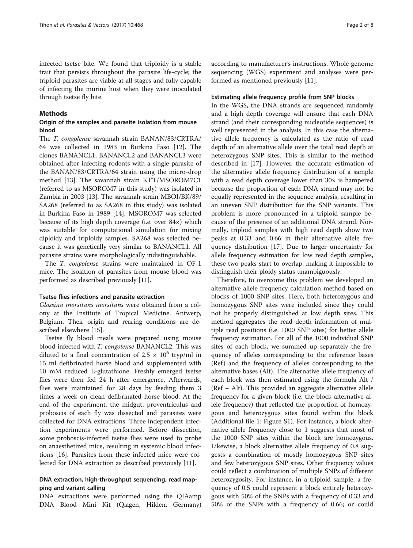infected tsetse bite. We found that triploidy is a stable trait that persists throughout the parasite life-cycle; the triploid parasites are viable at all stages and fully capable of infecting the murine host when they were inoculated through tsetse fly bite.

# Methods

# Origin of the samples and parasite isolation from mouse blood

The T. congolense savannah strain BANAN/83/CRTRA/ 64 was collected in 1983 in Burkina Faso [\[12](#page-7-0)]. The clones BANANCL1, BANANCL2 and BANANCL3 were obtained after infecting rodents with a single parasite of the BANAN/83/CRTRA/64 strain using the micro-drop method [[13\]](#page-7-0). The savannah strain KTT/MSOROM7C1 (referred to as MSOROM7 in this study) was isolated in Zambia in 2003 [[13](#page-7-0)]. The savannah strain MBOI/BK/89/ SA268 (referred to as SA268 in this study) was isolated in Burkina Faso in 1989 [\[14\]](#page-7-0). MSOROM7 was selected because of its high depth coverage (i.e. over 84×) which was suitable for computational simulation for mixing diploidy and triploidy samples. SA268 was selected because it was genetically very similar to BANANCL1. All parasite strains were morphologically indistinguishable.

The T. congolense strains were maintained in OF-1 mice. The isolation of parasites from mouse blood was performed as described previously [\[11\]](#page-7-0).

# Tsetse flies infections and parasite extraction

Glossina morsitans morsitans were obtained from a colony at the Institute of Tropical Medicine, Antwerp, Belgium. Their origin and rearing conditions are described elsewhere [[15\]](#page-7-0).

Tsetse fly blood meals were prepared using mouse blood infected with T. congolense BANANCL2. This was diluted to a final concentration of 2.5  $\times$  10<sup>6</sup> tryp/ml in 15 ml defibrinated horse blood and supplemented with 10 mM reduced L-glutathione. Freshly emerged tsetse flies were then fed 24 h after emergence. Afterwards, flies were maintained for 28 days by feeding them 3 times a week on clean defibrinated horse blood. At the end of the experiment, the midgut, proventriculus and proboscis of each fly was dissected and parasites were collected for DNA extractions. Three independent infection experiments were performed. Before dissection, some proboscis-infected tsetse flies were used to probe on anaesthetized mice, resulting in systemic blood infections [[16\]](#page-7-0). Parasites from these infected mice were collected for DNA extraction as described previously [[11\]](#page-7-0).

# DNA extraction, high-throughput sequencing, read mapping and variant calling

DNA extractions were performed using the QIAamp DNA Blood Mini Kit (Qiagen, Hilden, Germany) according to manufacturer's instructions. Whole genome sequencing (WGS) experiment and analyses were performed as mentioned previously [[11\]](#page-7-0).

# Estimating allele frequency profile from SNP blocks

In the WGS, the DNA strands are sequenced randomly and a high depth coverage will ensure that each DNA strand (and their corresponding nucleotide sequences) is well represented in the analysis. In this case the alternative allele frequency is calculated as the ratio of read depth of an alternative allele over the total read depth at heterozygous SNP sites. This is similar to the method described in [\[17\]](#page-7-0). However, the accurate estimation of the alternative allele frequency distribution of a sample with a read depth coverage lower than  $30\times$  is hampered because the proportion of each DNA strand may not be equally represented in the sequence analysis, resulting in an uneven SNP distribution for the SNP variants. This problem is more pronounced in a triploid sample because of the presence of an additional DNA strand. Normally, triploid samples with high read depth show two peaks at 0.33 and 0.66 in their alternative allele frequency distribution [[17\]](#page-7-0). Due to larger uncertainty for allele frequency estimation for low read depth samples, these two peaks start to overlap, making it impossible to distinguish their ploidy status unambiguously.

Therefore, to overcome this problem we developed an alternative allele frequency calculation method based on blocks of 1000 SNP sites. Here, both heterozygous and homozygous SNP sites were included since they could not be properly distinguished at low depth sites. This method aggregates the read depth information of multiple read positions (i.e. 1000 SNP sites) for better allele frequency estimation. For all of the 1000 individual SNP sites of each block, we summed up separately the frequency of alleles corresponding to the reference bases (Ref) and the frequency of alleles corresponding to the alternative bases (Alt). The alternative allele frequency of each block was then estimated using the formula Alt / (Ref + Alt). This provided an aggregate alternative allele frequency for a given block (i.e. the block alternative allele frequency) that reflected the proportion of homozygous and heterozygous sites found within the block (Additional file [1:](#page-6-0) Figure S1). For instance, a block alternative allele frequency close to 1 suggests that most of the 1000 SNP sites within the block are homozygous. Likewise, a block alternative allele frequency of 0.8 suggests a combination of mostly homozygous SNP sites and few heterozygous SNP sites. Other frequency values could reflect a combination of multiple SNPs of different heterozygosity. For instance, in a triploid sample, a frequency of 0.5 could represent a block entirely heterozygous with 50% of the SNPs with a frequency of 0.33 and 50% of the SNPs with a frequency of 0.66; or could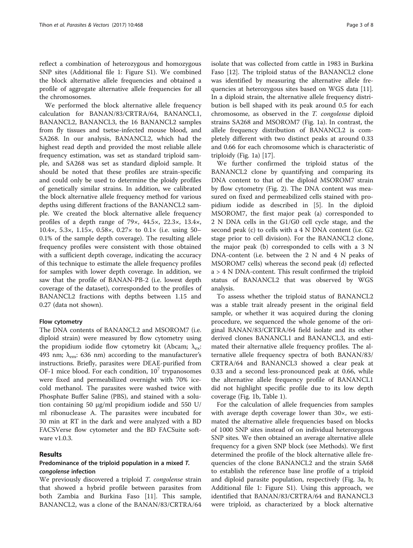reflect a combination of heterozygous and homozygous SNP sites (Additional file [1](#page-6-0): Figure S1). We combined the block alternative allele frequencies and obtained a profile of aggregate alternative allele frequencies for all the chromosomes.

We performed the block alternative allele frequency calculation for BANAN/83/CRTRA/64, BANANCL1, BANANCL2, BANANCL3, the 16 BANANCL2 samples from fly tissues and tsetse-infected mouse blood, and SA268. In our analysis, BANANCL2, which had the highest read depth and provided the most reliable allele frequency estimation, was set as standard triploid sample, and SA268 was set as standard diploid sample. It should be noted that these profiles are strain-specific and could only be used to determine the ploidy profiles of genetically similar strains. In addition, we calibrated the block alternative allele frequency method for various depths using different fractions of the BANANCL2 sample. We created the block alternative allele frequency profiles of a depth range of 79×, 44.5×, 22.3×, 13.4×, 10.4×, 5.3×, 1.15×, 0.58×, 0.27× to 0.1× (i.e. using 50– 0.1% of the sample depth coverage). The resulting allele frequency profiles were consistent with those obtained with a sufficient depth coverage, indicating the accuracy of this technique to estimate the allele frequency profiles for samples with lower depth coverage. In addition, we saw that the profile of BANAN-PB-2 (i.e. lowest depth coverage of the dataset), corresponded to the profiles of BANANCL2 fractions with depths between 1.15 and 0.27 (data not shown).

#### Flow cytometry

The DNA contents of BANANCL2 and MSOROM7 (i.e. diploid strain) were measured by flow cytometry using the propidium iodide flow cytometry kit (Abcam;  $\lambda_{ex}$ : 493 nm;  $\lambda_{em}$ : 636 nm) according to the manufacturer's instructions. Briefly, parasites were DEAE-purified from OF-1 mice blood. For each condition,  $10<sup>7</sup>$  trypanosomes were fixed and permeabilized overnight with 70% icecold methanol. The parasites were washed twice with Phosphate Buffer Saline (PBS), and stained with a solution containing 50 μg/ml propidium iodide and 550 U/ ml ribonuclease A. The parasites were incubated for 30 min at RT in the dark and were analyzed with a BD FACSVerse flow cytometer and the BD FACSuite software v1.0.3.

## Results

# Predominance of the triploid population in a mixed T. congolense infection

We previously discovered a triploid *T. congolense* strain that showed a hybrid profile between parasites from both Zambia and Burkina Faso [[11\]](#page-7-0). This sample, BANANCL2, was a clone of the BANAN/83/CRTRA/64

isolate that was collected from cattle in 1983 in Burkina Faso [\[12](#page-7-0)]. The triploid status of the BANANCL2 clone was identified by measuring the alternative allele frequencies at heterozygous sites based on WGS data [\[11](#page-7-0)]. In a diploid strain, the alternative allele frequency distribution is bell shaped with its peak around 0.5 for each chromosome, as observed in the T. congolense diploid strains SA268 and MSOROM7 (Fig. [1a](#page-3-0)). In contrast, the allele frequency distribution of BANANCL2 is completely different with two distinct peaks at around 0.33 and 0.66 for each chromosome which is characteristic of triploidy (Fig. [1a](#page-3-0)) [\[17](#page-7-0)].

We further confirmed the triploid status of the BANANCL2 clone by quantifying and comparing its DNA content to that of the diploid MSOROM7 strain by flow cytometry (Fig. [2](#page-3-0)). The DNA content was measured on fixed and permeabilized cells stained with propidium iodide as described in [\[5](#page-7-0)]. In the diploid MSOROM7, the first major peak (a) corresponded to 2 N DNA cells in the G1/G0 cell cycle stage, and the second peak (c) to cells with a 4 N DNA content (i.e. G2 stage prior to cell division). For the BANANCL2 clone, the major peak (b) corresponded to cells with a 3 N DNA-content (i.e. between the 2 N and 4 N peaks of MSOROM7 cells) whereas the second peak (d) reflected a > 4 N DNA-content. This result confirmed the triploid status of BANANCL2 that was observed by WGS analysis.

To assess whether the triploid status of BANANCL2 was a stable trait already present in the original field sample, or whether it was acquired during the cloning procedure, we sequenced the whole genome of the original BANAN/83/CRTRA/64 field isolate and its other derived clones BANANCL1 and BANANCL3, and estimated their alternative allele frequency profiles. The alternative allele frequency spectra of both BANAN/83/ CRTRA/64 and BANANCL3 showed a clear peak at 0.33 and a second less-pronounced peak at 0.66, while the alternative allele frequency profile of BANANCL1 did not highlight specific profile due to its low depth coverage (Fig. [1b,](#page-3-0) Table [1](#page-3-0)).

For the calculation of allele frequencies from samples with average depth coverage lower than 30×, we estimated the alternative allele frequencies based on blocks of 1000 SNP sites instead of on individual heterozygous SNP sites. We then obtained an average alternative allele frequency for a given SNP block (see Methods). We first determined the profile of the block alternative allele frequencies of the clone BANANCL2 and the strain SA68 to establish the reference base line profile of a triploid and diploid parasite population, respectively (Fig. [3a, b](#page-4-0); Additional file [1](#page-6-0): Figure S1). Using this approach, we identified that BANAN/83/CRTRA/64 and BANANCL3 were triploid, as characterized by a block alternative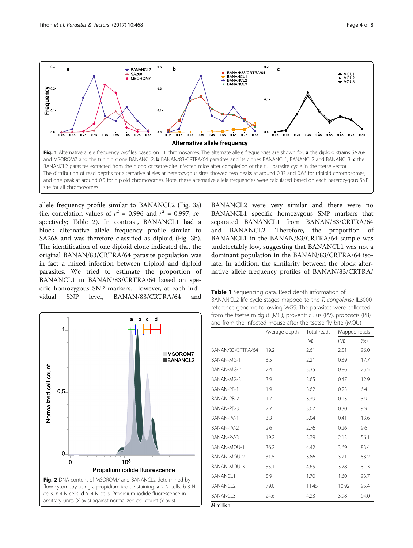<span id="page-3-0"></span>

allele frequency profile similar to BANANCL2 (Fig. [3a](#page-4-0)) (i.e. correlation values of  $r^2 = 0.996$  and  $r^2 = 0.997$ , respectively; Table [2](#page-5-0)). In contrast, BANANCL1 had a block alternative allele frequency profile similar to SA268 and was therefore classified as diploid (Fig. [3b](#page-4-0)). The identification of one diploid clone indicated that the original BANAN/83/CRTRA/64 parasite population was in fact a mixed infection between triploid and diploid parasites. We tried to estimate the proportion of BANANCL1 in BANAN/83/CRTRA/64 based on specific homozygous SNP markers. However, at each individual SNP level, BANAN/83/CRTRA/64 and

BANANCL2 were very similar and there were no BANANCL1 specific homozygous SNP markers that separated BANANCL1 from BANAN/83/CRTRA/64 and BANANCL2. Therefore, the proportion of BANANCL1 in the BANAN/83/CRTRA/64 sample was undetectably low, suggesting that BANANCL1 was not a dominant population in the BANAN/83/CRTRA/64 isolate. In addition, the similarity between the block alternative allele frequency profiles of BANAN/83/CRTRA/



Table 1 Sequencing data. Read depth information of BANANCL2 life-cycle stages mapped to the T. congolense IL3000 reference genome following WGS. The parasites were collected from the tsetse midgut (MG), proventriculus (PV), proboscis (PB) and from the infected mouse after the tsetse fly bite (MOU)

|                   | Average depth | Total reads | Mapped reads |      |
|-------------------|---------------|-------------|--------------|------|
|                   |               | (M)         | (M)          | (% ) |
| BANAN/83/CRTRA/64 | 19.2          | 2.61        | 2.51         | 96.0 |
| <b>BANAN-MG-1</b> | 3.5           | 2.21        | 0.39         | 17.7 |
| BANAN-MG-2        | 7.4           | 3.35        | 0.86         | 25.5 |
| <b>BANAN-MG-3</b> | 3.9           | 3.65        | 0.47         | 12.9 |
| BANAN-PB-1        | 1.9           | 3.62        | 0.23         | 6.4  |
| BANAN-PB-2        | 1.7           | 3.39        | 0.13         | 3.9  |
| BANAN-PB-3        | 2.7           | 3.07        | 0.30         | 9.9  |
| BANAN-PV-1        | 3.3           | 3.04        | 0.41         | 13.6 |
| BANAN-PV-2        | 2.6           | 2.76        | 0.26         | 9.6  |
| BANAN-PV-3        | 19.2          | 3.79        | 2.13         | 56.1 |
| BANAN-MOU-1       | 36.2          | 4.42        | 3.69         | 83.4 |
| BANAN-MOU-2       | 31.5          | 3.86        | 3.21         | 83.2 |
| BANAN-MOU-3       | 35.1          | 4.65        | 3.78         | 81.3 |
| <b>BANANCL1</b>   | 8.9           | 1.70        | 1.60         | 93.7 |
| <b>BANANCI 2</b>  | 79.0          | 11.45       | 10.92        | 95.4 |
| <b>BANANCL3</b>   | 24.6          | 4.23        | 3.98         | 94.0 |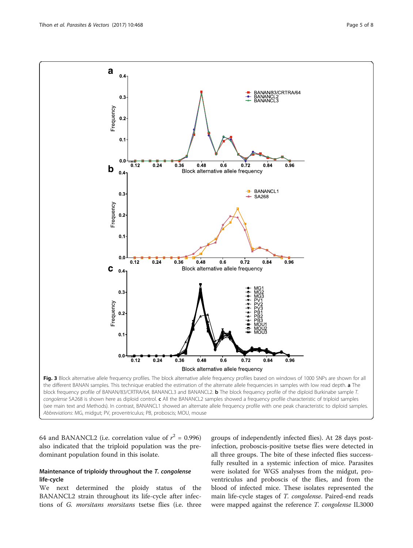<span id="page-4-0"></span>

64 and BANANCL2 (i.e. correlation value of  $r^2 = 0.996$ )<br>also indicated that the triploid population was the prealso indicated that the triploid population was the predominant population found in this isolate.

# Maintenance of triploidy throughout the T. congolense life-cycle

We next determined the ploidy status of the BANANCL2 strain throughout its life-cycle after infections of G. morsitans morsitans tsetse flies (i.e. three

groups of independently infected flies). At 28 days postinfection, proboscis-positive tsetse flies were detected in all three groups. The bite of these infected flies successfully resulted in a systemic infection of mice. Parasites were isolated for WGS analyses from the midgut, proventriculus and proboscis of the flies, and from the blood of infected mice. These isolates represented the main life-cycle stages of T. congolense. Paired-end reads were mapped against the reference *T. congolense* IL3000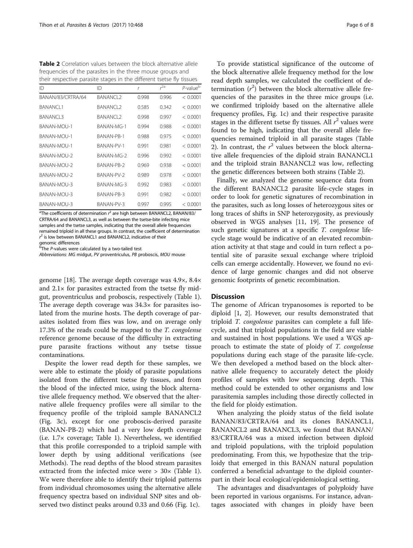<span id="page-5-0"></span>Table 2 Correlation values between the block alternative allele frequencies of the parasites in the three mouse groups and their respective parasite stages in the different tsetse fly tissues

| P-value <sup>b</sup><br>< 0.0001 |
|----------------------------------|
|                                  |
|                                  |
| < 0.0001                         |
| < 0.0001                         |
| < 0.0001                         |
| < 0.0001                         |
| < 0.0001                         |
| < 0.0001                         |
| < 0.0001                         |
| < 0.0001                         |
| < 0.0001                         |
| < 0.0001                         |
| < 0.0001                         |
|                                  |

<sup>a</sup> The coefficients of determination  $r^2$  are high between BANANCL2, BANAN/83/<br>CRTRA/64 and RANANCL3, as well as between the tretre-bite infecting mice CRTRA/64 and BANANCL3, as well as between the tsetse-bite infecting mice samples and the tsetse samples, indicating that the overall allele frequencies remained triploid in all these groups. In contrast, the coefficient of determination r genomic differences  $r^2$  is low between BANANCL1 and BANANCL2, indicative of their

<sup>b</sup>The *P*-values were calculated by a two-tailed test<br>Abbreviations: MG midgut, *PV* proventriculus, *PR* p

Abbreviations: MG midgut, PV proventriculus, PB proboscis, MOU mouse

genome [\[18](#page-7-0)]. The average depth coverage was 4.9×, 8.4× and  $2.1\times$  for parasites extracted from the tsetse fly midgut, proventriculus and proboscis, respectively (Table [1](#page-3-0)). The average depth coverage was 34.3× for parasites isolated from the murine hosts. The depth coverage of parasites isolated from flies was low, and on average only 17.3% of the reads could be mapped to the T. congolense reference genome because of the difficulty in extracting pure parasite fractions without any tsetse tissue contaminations.

Despite the lower read depth for these samples, we were able to estimate the ploidy of parasite populations isolated from the different tsetse fly tissues, and from the blood of the infected mice, using the block alternative allele frequency method. We observed that the alternative allele frequency profiles were all similar to the frequency profile of the triploid sample BANANCL2 (Fig. [3c](#page-4-0)), except for one proboscis-derived parasite (BANAN-PB-2) which had a very low depth coverage (i.e. 1.7× coverage; Table [1](#page-3-0)). Nevertheless, we identified that this profile corresponded to a triploid sample with lower depth by using additional verifications (see Methods). The read depths of the blood stream parasites extracted from the infected mice were  $> 30 \times$  (Table [1](#page-3-0)). We were therefore able to identify their triploid patterns from individual chromosomes using the alternative allele frequency spectra based on individual SNP sites and observed two distinct peaks around 0.33 and 0.66 (Fig. [1c\)](#page-3-0).

To provide statistical significance of the outcome of the block alternative allele frequency method for the low read depth samples, we calculated the coefficient of determination  $(r^2)$  between the block alternative allele fre-<br>quancies of the parasites in the three mice groups (i.e. quencies of the parasites in the three mice groups (i.e. we confirmed triploidy based on the alternative allele frequency profiles, Fig. [1c](#page-3-0)) and their respective parasite stages in the different tsetse fly tissues. All  $r^2$  values were<br>found to be high indicating that the overall allele frefound to be high, indicating that the overall allele frequencies remained triploid in all parasite stages (Table 2). In contrast, the  $r^2$  values between the block alternative allele frequencies of the diploid strain BANANCI 1 tive allele frequencies of the diploid strain BANANCL1 and the triploid strain BANANCL2 was low, reflecting the genetic differences between both strains (Table 2).

Finally, we analyzed the genome sequence data from the different BANANCL2 parasite life-cycle stages in order to look for genetic signatures of recombination in the parasites, such as long losses of heterozygous sites or long traces of shifts in SNP heterozygosity, as previously observed in WGS analyses [[11](#page-7-0), [19\]](#page-7-0). The presence of such genetic signatures at a specific T. congolense lifecycle stage would be indicative of an elevated recombination activity at that stage and could in turn reflect a potential site of parasite sexual exchange where triploid cells can emerge accidentally. However, we found no evidence of large genomic changes and did not observe genomic footprints of genetic recombination.

# **Discussion**

The genome of African trypanosomes is reported to be diploid [\[1](#page-7-0), [2\]](#page-7-0). However, our results demonstrated that triploid T. congolense parasites can complete a full lifecycle, and that triploid populations in the field are viable and sustained in host populations. We used a WGS approach to estimate the state of ploidy of T. congolense populations during each stage of the parasite life-cycle. We then developed a method based on the block alternative allele frequency to accurately detect the ploidy profiles of samples with low sequencing depth. This method could be extended to other organisms and low parasitemia samples including those directly collected in the field for ploidy estimation.

When analyzing the ploidy status of the field isolate BANAN/83/CRTRA/64 and its clones BANANCL1, BANANCL2 and BANANCL3, we found that BANAN/ 83/CRTRA/64 was a mixed infection between diploid and triploid populations, with the triploid population predominating. From this, we hypothesize that the triploidy that emerged in this BANAN natural population conferred a beneficial advantage to the diploid counterpart in their local ecological/epidemiological setting.

The advantages and disadvantages of polyploidy have been reported in various organisms. For instance, advantages associated with changes in ploidy have been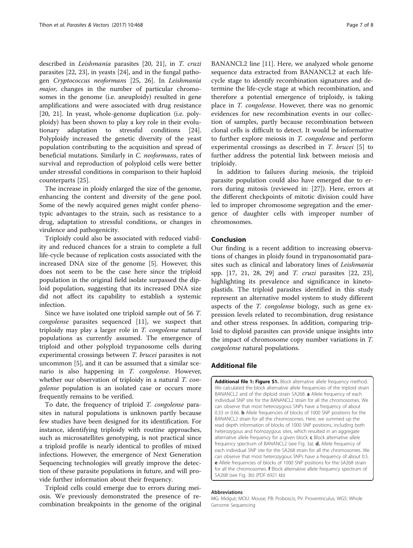<span id="page-6-0"></span>described in Leishmania parasites [\[20](#page-7-0), [21\]](#page-7-0), in T. cruzi parasites [\[22](#page-7-0), [23](#page-7-0)], in yeasts [[24](#page-7-0)], and in the fungal pathogen Cryptococcus neoformans [[25, 26](#page-7-0)]. In Leishmania *major*, changes in the number of particular chromosomes in the genome (i.e. aneuploidy) resulted in gene amplifications and were associated with drug resistance [[20, 21](#page-7-0)]. In yeast, whole-genome duplication (i.e. polyploidy) has been shown to play a key role in their evolutionary adaptation to stressful conditions [\[24](#page-7-0)]. Polyploidy increased the genetic diversity of the yeast population contributing to the acquisition and spread of beneficial mutations. Similarly in C. neoformans, rates of survival and reproduction of polyploid cells were better under stressful conditions in comparison to their haploid counterparts [[25](#page-7-0)].

The increase in ploidy enlarged the size of the genome, enhancing the content and diversity of the gene pool. Some of the newly acquired genes might confer phenotypic advantages to the strain, such as resistance to a drug, adaptation to stressful conditions, or changes in virulence and pathogenicity.

Triploidy could also be associated with reduced viability and reduced chances for a strain to complete a full life-cycle because of replication costs associated with the increased DNA size of the genome [[5](#page-7-0)]. However, this does not seem to be the case here since the triploid population in the original field isolate surpassed the diploid population, suggesting that its increased DNA size did not affect its capability to establish a systemic infection.

Since we have isolated one triploid sample out of 56 T. congolense parasites sequenced [\[11\]](#page-7-0), we suspect that triploidy may play a larger role in T. congolense natural populations as currently assumed. The emergence of triploid and other polyploid trypanosome cells during experimental crossings between T. brucei parasites is not uncommon [[5\]](#page-7-0), and it can be assumed that a similar scenario is also happening in T. congolense. However, whether our observation of triploidy in a natural *T. con*golense population is an isolated case or occurs more frequently remains to be verified.

To date, the frequency of triploid T. congolense parasites in natural populations is unknown partly because few studies have been designed for its identification. For instance, identifying triploidy with routine approaches, such as microsatellites genotyping, is not practical since a triploid profile is nearly identical to profiles of mixed infections. However, the emergence of Next Generation Sequencing technologies will greatly improve the detection of these parasite populations in future, and will provide further information about their frequency.

Triploid cells could emerge due to errors during meiosis. We previously demonstrated the presence of recombination breakpoints in the genome of the original

BANANCL2 line [\[11](#page-7-0)]. Here, we analyzed whole genome sequence data extracted from BANANCL2 at each lifecycle stage to identify recombination signatures and determine the life-cycle stage at which recombination, and therefore a potential emergence of triploidy, is taking place in T. congolense. However, there was no genomic evidences for new recombination events in our collection of samples, partly because recombination between clonal cells is difficult to detect. It would be informative to further explore meiosis in T. congolense and perform experimental crossings as described in T. brucei [[5\]](#page-7-0) to further address the potential link between meiosis and triploidy.

In addition to failures during meiosis, the triploid parasite population could also have emerged due to errors during mitosis (reviewed in: [\[27](#page-7-0)]). Here, errors at the different checkpoints of mitotic division could have led to improper chromosome segregation and the emergence of daughter cells with improper number of chromosomes.

# Conclusion

Our finding is a recent addition to increasing observations of changes in ploidy found in trypanosomatid parasites such as clinical and laboratory lines of Leishmania spp. [[17, 21](#page-7-0), [28, 29](#page-7-0)] and T. cruzi parasites [[22, 23](#page-7-0)], highlighting its prevalence and significance in kinetoplastids. The triploid parasites identified in this study represent an alternative model system to study different aspects of the T. congolense biology, such as gene expression levels related to recombination, drug resistance and other stress responses. In addition, comparing triploid to diploid parasites can provide unique insights into the impact of chromosome copy number variations in T. congolense natural populations.

# Additional file

[Additional file 1: Figure S1.](dx.doi.org/10.1186/s13071-017-2406-z) Block alternative allele frequency method. We calculated the block alternative allele frequencies of the triploid strain BANANCL2 and of the diploid strain SA268. a Allele frequency of each individual SNP site for the BANANCL2 strain for all the chromosomes. We can observe that most heterozygous SNPs have a frequency of about 0.33 or 0.66. b Allele frequencies of blocks of 1000 SNP positions for the BANANCL2 strain for all the chromosomes. Here, we summed up the read depth information of blocks of 1000 SNP positions, including both heterozygous and homozygous sites, which resulted in an aggregate alternative allele frequency for a given block. c Block alternative allele frequency spectrum of BANANCL2 (see Fig. [3a\)](#page-4-0). d. Allele frequency of each individual SNP site for the SA268 strain for all the chromosomes. We can observe that most heterozygous SNPs have a frequency of about 0.5. e Allele frequencies of blocks of 1000 SNP positions for the SA268 strain for all the chromosomes. f Block alternative allele frequency spectrum of SA268 (see Fig. [3b](#page-4-0)) (PDF 6921 kb)

#### Abbreviations

MG: Midgut; MOU: Mouse; PB: Proboscis; PV: Proventriculus; WGS: Whole Genome Sequencing